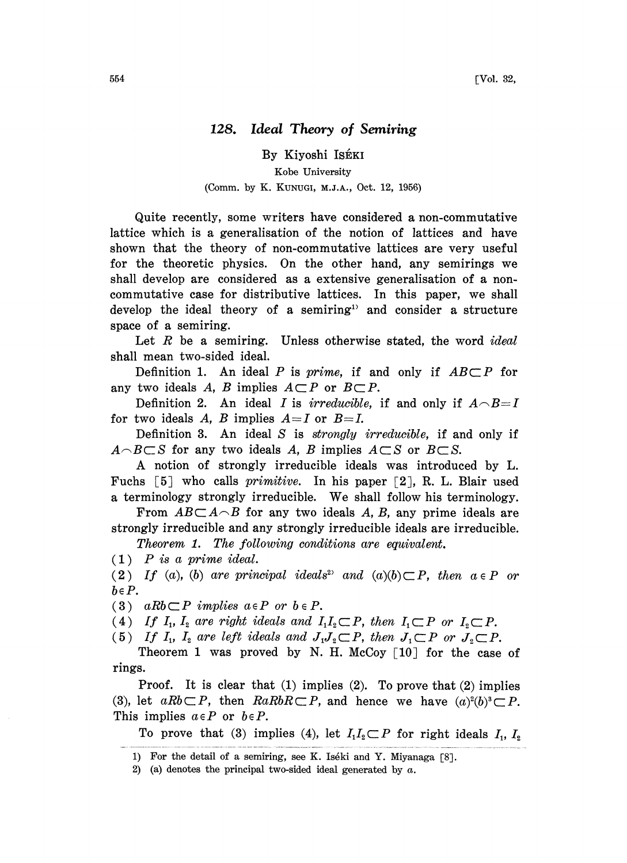## 128. Ideal Theory of Semiring

## By Kiyoshi ISÉKI Kobe University

## (Comm. by K. KUNUGI, M.J.A., Oct. 12, 1956)

Quite recently, some writers have considered a non-commutative lattice which is a generalisation of the notion of lattices and have shown that the theory of non-commutative lattices are very useful for the theoretic physics. On the other hand, any semirings we shall develop are considered as a extensive generalisation of a noncommutative case for distributive lattices. In this paper, we shall develop the ideal theory of a semiring<sup>1</sup> and consider a structure space of a semiring.

Let  $R$  be a semiring. Unless otherwise stated, the word *ideal* shall mean two-sided ideal.

Definition 1. An ideal P is prime, if and only if  $AB \subset P$  for any two ideals A, B implies  $A \subset P$  or  $B \subset P$ .

Definition 2. An ideal I is irreducible, if and only if  $A \cap B = I$ for two ideals A, B implies  $A=I$  or  $B=I$ .

Definition 3. An ideal S is *strongly irreducible*, if and only if  $A \cap B \subset S$  for any two ideals A, B implies  $A \subset S$  or  $B \subset S$ .

A notion of strongly irreducible ideals was introduced by L. Fuchs  $\lceil 5 \rceil$  who calls *primitive*. In his paper  $\lceil 2 \rceil$ , R. L. Blair used <sup>a</sup> terminology strongly irreducible. We shall follow his terminology.

From  $AB\subset A\cap B$  for any two ideals A, B, any prime ideals are strongly irreducible and any strongly irreducible ideals are irreducible.

Theorem 1. The following conditions are equivalent.

 $(1)$  P is a prime ideal.

(2) If (a), (b) are principal ideals<sup>2</sup> and  $(a)(b) \subset P$ , then  $a \in P$  or  $b \in P$ .

(3) aRb  $\subset P$  implies  $a \in P$  or  $b \in P$ .

(4) If  $I_1$ ,  $I_2$  are right ideals and  $I_1I_2 \subset P$ , then  $I_1 \subset P$  or  $I_2 \subset P$ .

(5) If  $I_1$ ,  $I_2$  are left ideals and  $J_1J_2 \subset P$ , then  $J_1 \subset P$  or  $J_2 \subset P$ .

Theorem 1 was proved by N. H. McCoy  $[10]$  for the case of rings.

Proof. It is clear that  $(1)$  implies  $(2)$ . To prove that  $(2)$  implies (3), let  $aRb \subset P$ , then  $RaRbR \subset P$ , and hence we have  $(a)^2(b)^3 \subset P$ . This implies  $a \in P$  or  $b \in P$ .

To prove that (3) implies (4), let  $I_1I_2\subset P$  for right ideals  $I_1, I_2$ 

<sup>1)</sup> For the detail of a semiring, see K. Iséki and Y. Miyanaga [8].

<sup>2) (</sup>a) denotes the principal two-sided ideal generated by  $a$ .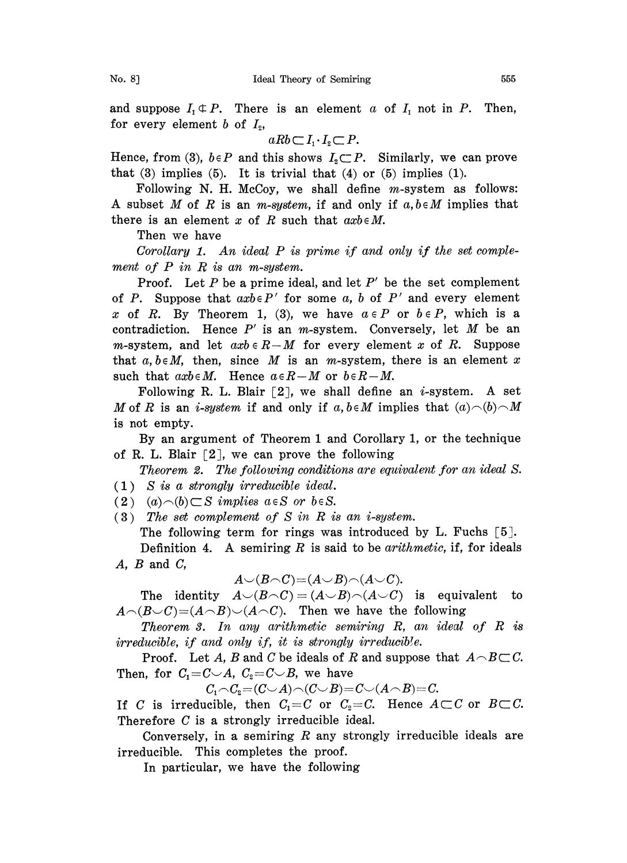and suppose  $I_1 \oplus P$ . There is an element a of  $I_1$  not in P. Then, for every element b of  $I_2$ ,

$$
aRb\subset I_1\cdot I_2\subset P.
$$

Hence, from (3),  $b \in P$  and this shows  $I_2 \subset P$ . Similarly, we can prove that  $(3)$  implies  $(5)$ . It is trivial that  $(4)$  or  $(5)$  implies  $(1)$ .

Following N. H. McCoy, we shall define  $m$ -system as follows: A subset M of R is an m-system, if and only if  $a, b \in M$  implies that there is an element x of R such that  $axb \in M$ .

Then we have

Corollary 1. An ideal  $P$  is prime if and only if the set complement of  $P$  in  $R$  is an m-system.

Proof. Let  $P$  be a prime ideal, and let  $P'$  be the set complement of P. Suppose that  $axb \in P'$  for some a, b of P' and every element x of R. By Theorem 1, (3), we have  $a \in P$  or  $b \in P$ , which is a contradiction. Hence  $P'$  is an *m*-system. Conversely, let  $M$  be an m-system, and let  $axb \in R-M$  for every element x of R. Suppose that  $a, b \in M$ , then, since M is an m-system, there is an element x such that  $axb \in M$ . Hence  $a \in R-M$  or  $b \in R-M$ .

Following R. L. Blair  $[2]$ , we shall define an *i*-system. A set M of R is an *i-system* if and only if  $a, b \in M$  implies that  $(a) \cap (b) \cap M$ is not empty.

By an argument of Theorem <sup>1</sup> and Corollary 1, or the technique of R. L. Blair  $[2]$ , we can prove the following

Theorem 2. The following conditions are equivalent for an ideal S. (1) S is a strongly irreducible ideal.

 $(2)$   $(a) \neg(b) \subset S$  implies  $a \in S$  or  $b \in S$ .

(3) The set complement of S in R is an i-system. The following term for rings was introduced by L. Fuchs [5].

Definition 4. A semiring R is said to be *arithmetic*, if, for ideals  $A, B$  and  $C,$ 

$$
A\smile(B\!\smallfrown\!\mathit{C})\!\!=\!\!(A\!\smile\!B)\!\smallfrown\!\mathit{(A}\!\smile\!\mathit{C}).
$$

The identity  $A\cup (B\cap C)=(A\cup B)\cap (A\cup C)$  is equivalent to  $A\cap(B\cup C)=(A\cap B)\cup(A\cap C)$ . Then we have the following

Theorem 3. In any arithmetic semiring R, an ideal of R is irreducible, if and only if, it is strongly irreducible.

Proof. Let A, B and C be ideals of R and suppose that  $A \cap B \subset C$ . Then, for  $C_1=C\smile A$ ,  $C_2=C\smile B$ , we have

$$
C_1 \cap C_2 = (C \cup A) \cap (C \cup B) = C \cup (A \cap B) = C.
$$

If C is irreducible, then  $C_1 = C$  or  $C_2 = C$ . Hence  $A \subset C$  or  $B \subset C$ . Therefore C is a strongly irreducible ideal.

Conversely, in a semiring  $R$  any strongly irreducible ideals are irreducible. This completes the proof.

In particular, we have the following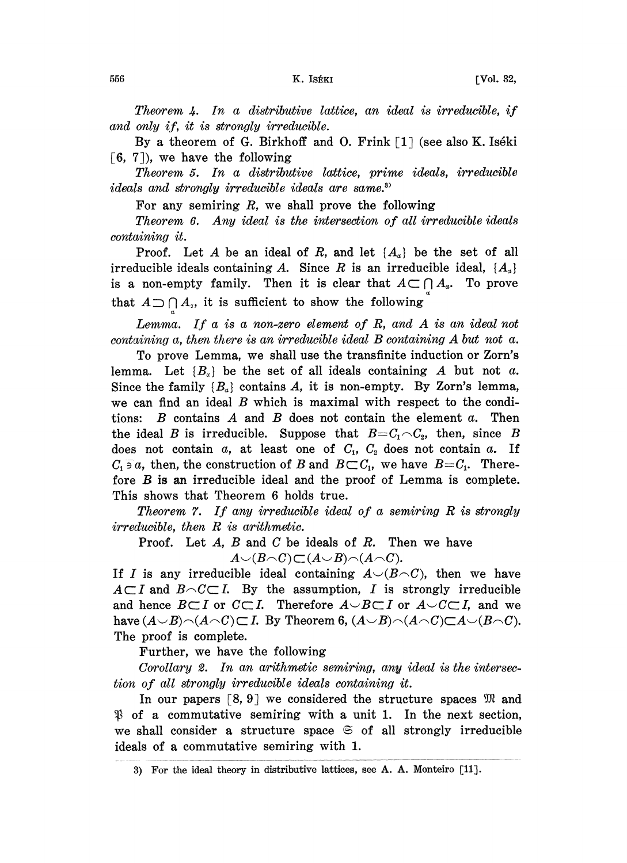Theorem 4. In a distributive lattice, an ideal is irreducible, if and only if, it is strongly irreducible.

By a theorem of G. Birkhoff and O. Frink  $\lceil 1 \rceil$  (see also K. Iséki  $[6, 7]$ , we have the following

Theorem 5. In a distributive lattice, prime ideals, irreducible ideals and strongly irreducible ideals are same.<sup>37</sup>

For any semiring  $R$ , we shall prove the following

Theorem 6. Any ideal is the intersection of all irreducible ideals containing it.

Proof. Let A be an ideal of R, and let  $\{A_{\alpha}\}\$  be the set of all irreducible ideals containing A. Since R is an irreducible ideal,  $\{A_{\alpha}\}\$ is a non-empty family. Then it is clear that  $A \subset \bigcap A_a$ . To prove that  $A \supset \bigcap_{a} A_{\sigma}$ , it is sufficient to show the following

Lemma. If a is a non-zero element of  $R$ , and  $A$  is an ideal not containing a, then there is an irreducible ideal B containing A but not a.

To prove Lemma, we shall use the transfinite induction or Zorn's lemma. Let  $\{B_{\alpha}\}\$  be the set of all ideals containing A but not a. Since the family  $\{B_n\}$  contains A, it is non-empty. By Zorn's lemma, we can find an ideal  $B$  which is maximal with respect to the conditions:  $B$  contains  $A$  and  $B$  does not contain the element  $a$ . Then the ideal B is irreducible. Suppose that  $B=C_1 \cap C_2$ , then, since B does not contain a, at least one of  $C_1$ ,  $C_2$  does not contain a. If  $C_1 \ni a$ , then, the construction of B and  $B \subset C_1$ , we have  $B = C_1$ . Therefore B is an irreducible ideal and the proof of Lemma is complete. This shows that Theorem 6 holds true.

Theorem 7. If any irreducible ideal of <sup>a</sup> semiring R is strongly irreducible, then R is arithmetic.

Proof. Let  $A$ ,  $B$  and  $C$  be ideals of  $R$ . Then we have  $A\cup (B\cap C)\subset (A\cup B)\cap (A\cap C).$ 

If I is any irreducible ideal containing  $A\setminus (B\setminus C)$ , then we have  $A\subset I$  and  $B\cap C\subset I$ . By the assumption, I is strongly irreducible and hence  $B\subset I$  or  $C\subset I$ . Therefore  $A\cup B\subset I$  or  $A\cup C\subset I$ , and we have  $(A\cup B)\cap(A\cap C)\subset I$ . By Theorem 6,  $(A\cup B)\cap(A\cap C)\subset A\cup(B\cap C)$ . The proof is complete.

Further, we have the following

Corollary 2. In an arithmetic semiring, any ideal is the intersection of all strongly irreducible ideals containing it.

In our papers  $\lceil 8, 9 \rceil$  we considered the structure spaces  $\mathfrak{M}$  and  $\mathfrak V$  of a commutative semiring with a unit 1. In the next section, we shall consider a structure space  $\mathfrak{S}$  of all strongly irreducible ideals of a commutative semiring with 1.

<sup>3)</sup> For the ideal theory in distributive lattices, see A. A. Monteiro [11].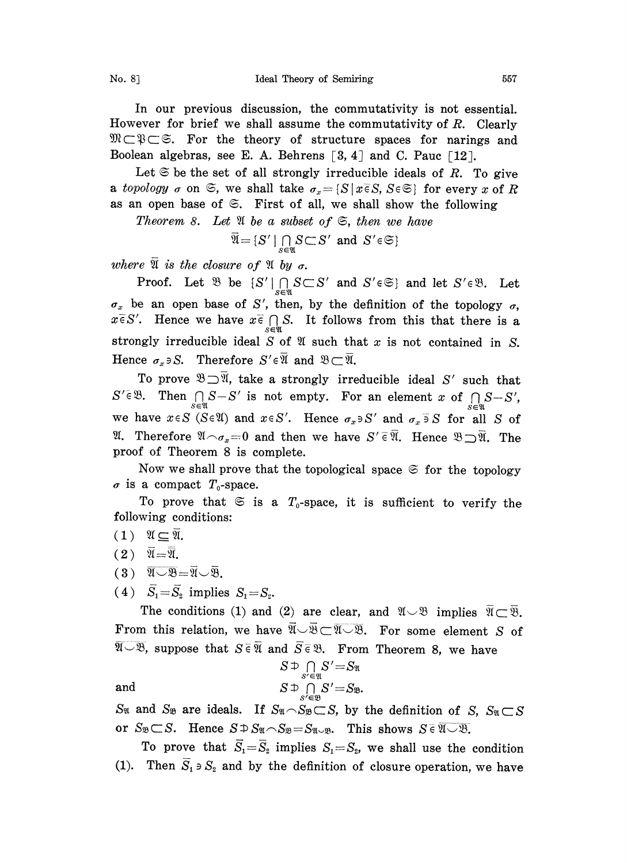In our previous discussion, the commutativity is not essential. However for brief we shall assume the commutativity of  $R$ . Clearly  $\mathcal{W} \subset \mathcal{B} \subset \mathcal{B}$ . For the theory of structure spaces for narings and Boolean algebras, see E. A. Behrens  $\lceil 3, 4 \rceil$  and C. Pauc  $\lceil 12 \rceil$ .

Let  $\mathfrak{S}$  be the set of all strongly irreducible ideals of R. To give a topology  $\sigma$  on  $\mathfrak{S}$ , we shall take  $\sigma_x = \{S \mid x \in S, S \in \mathfrak{S}\}$  for every x of R as an open base of  $\mathfrak{S}$ . First of all, we shall show the following

Theorem 8. Let  $\mathfrak A$  be a subset of  $\mathfrak S$ , then we have

$$
\overline{\mathfrak{A}} = \{ S' \mid \bigcap_{S \in \mathfrak{A}} S \subset S' \text{ and } S' \in \mathfrak{S} \}
$$

where  $\mathfrak A$  is the closure of  $\mathfrak A$  by  $\sigma$ .

 $\overline{\mathfrak{A}} = \{S' \mid \bigcap_{S \in \mathfrak{A}} S \subset S' \text{ and } S' \in \mathfrak{S} \}$ <br>
Proof. Let  $\mathfrak{B}$  be  $\{S' \mid \bigcap_{S \in \mathfrak{A}} S \subset S' \text{ and } S' \in \mathfrak{S} \}$  and let  $S' \in \mathfrak{B}$ . Let  $\sigma_x$  be an open base of S', then, by the definition of the topology  $\sigma$ ,  $x \overline{\epsilon} S'$ . Hence we have  $x \overline{\epsilon} \bigcap_{s \in \mathfrak{N}} S$ . It follows from this that there is a strongly irreducible ideal  $S$  of  $\mathfrak A$  such that  $x$  is not contained in  $S$ . Hence  $\sigma_x \ni S$ . Therefore  $S' \in \overline{\mathfrak{A}}$  and  $\mathfrak{B} \subset \overline{\mathfrak{A}}$ .

To prove  $\mathfrak{B}\supseteq\overline{\mathfrak{A}}$ , take a strongly irreducible ideal S' such that  $S' \in \mathfrak{B}$ . Then  $\bigcap_{s \in \mathfrak{M}} S - S'$  is not empty. For an element x of  $\bigcap_{s \in \mathfrak{M}} S - S'$ , we have  $x \in S$  (SeW) and  $x \in S'$ . Hence  $S \in \mathbb{R}$ . Then  $\frac{1}{S \in \mathbb{N}} S \to S$  is not empty. For an element x or  $\frac{1}{S \in \mathbb{N}} S \to S$ ,<br>we have  $x \in S$  ( $S \in \mathbb{Y}$ ) and  $x \in S'$ . Hence  $\sigma_x \ni S'$  and  $\sigma_x \ni S$  for all S of<br> $\mathbb{Y}$ . Therefore  $\mathbb{Y} \cap \sigma_x = 0$  and t **2.** Therefore  $\mathfrak{A} \cap \sigma_x = 0$  and then we have  $S' \in \overline{\mathfrak{A}}$ . Hence  $\mathfrak{B} \supset \overline{\mathfrak{A}}$ . The proof of Theorem 8 is complete.

Now we shall prove that the topological space  $\mathfrak{S}$  for the topology  $\sigma$  is a compact  $T_0$ -space.

To prove that  $\mathfrak{S}$  is a  $T_0$ -space, it is sufficient to verify the following conditions:

- $(1)$   $\mathfrak{A} \subseteq \overline{\mathfrak{A}}$ .
- $(2) \quad \overline{\mathfrak{A}} = \overline{\mathfrak{A}}.$
- $(3) \quad \overline{\mathfrak{A} \cup \mathfrak{B}} = \overline{\mathfrak{A}} \cup \overline{\mathfrak{B}}.$
- $(4)$   $\bar{S}_1 = \bar{S}_2$  implies  $S_1 = S_2$ .

The conditions (1) and (2) are clear, and  $\mathfrak{A} \cup \mathfrak{B}$  implies  $\mathfrak{A}$ <br>From this relation, we have  $\overline{\mathfrak{A}} \cup \overline{\mathfrak{B}} \subset \overline{\mathfrak{A} \cup \mathfrak{B}}$ . For some element,<br> $\overline{\mathfrak{A} \cup \mathfrak{B}}$ , suppose that  $S \in \overline{\mathfrak{A$ From this relation, we have  $\overline{\mathfrak{A}} \cup \overline{\mathfrak{B}} \subset \overline{\mathfrak{A} \cup \mathfrak{B}}$ . For some element S of  $\overline{S}_1 = \overline{S}_2$  implies  $S_1 = S_2$ .<br>The conditions (1) and (2) are clear, and  $\mathfrak{A} \cup \mathfrak{B}$  implies<br>in this relation, we have  $\overline{\mathfrak{A}} \cup \overline{\mathfrak{B}} \subset \overline{\mathfrak{A} \cup \mathfrak{B}}$ . For some element  $\overline{\mathfrak{A}} \subset \overline{\mathfrak{B}}$ .

and  

$$
S \uparrow \bigcap_{S' \in \mathfrak{A}} S' = S_{\mathfrak{A}}
$$

$$
S \uparrow \bigcap_{S' \in \mathfrak{B}} S' = S_{\mathfrak{B}}.
$$

and  $S \supseteq \bigcap_{S' \in \mathfrak{B}} S' = S_{\mathfrak{B}}$ .<br>S<sub>n</sub> and S<sub>n</sub> are ideals. If  $S_{\mathfrak{A}} \cap S_{\mathfrak{B}} \subset S$ , by the definition of S,  $S_{\mathfrak{A}} \subset S$ . or  $S_{\mathfrak{B}} \subset S$ . Hence  $S \supset \mathfrak{S}_\mathfrak{A} \cap S_{\mathfrak{B}} = S_{\mathfrak{A} \cup \mathfrak{B}}$ . This shows  $S \in \overline{\mathfrak{A} \cup \mathfrak{B}}$ .

To prove that  $\overline{S}_1 = \overline{S}_2$  implies  $S_1 = S_2$ , we shall use the condition (1). Then  $\overline{S}_1 \ni S_2$  and by the definition of closure operation, we have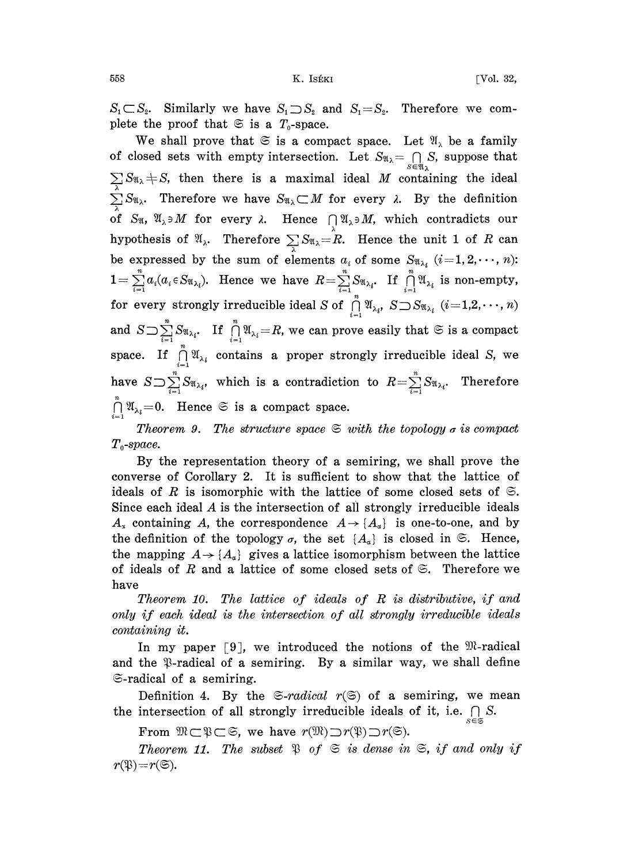$S_1 \subset S_2$ . Similarly we have  $S_1 \supset S_2$  and  $S_1 = S_2$ . Therefore we complete the proof that  $\mathfrak{S}$  is a  $T_0$ -space.

We shall prove that  $\mathfrak{S}$  is a compact space. Let  $\mathfrak{A}_{\lambda}$  be a family of closed sets with empty intersection. Let,  $S_{\mathfrak{A}_{\lambda}} = \bigcap_{s \in \mathfrak{A}_{\lambda}} S$ , suppose that  $\sum S_{\mathfrak{A}} + S$ , then there is a maximal ideal M containing the ideal  $\sum_{\lambda} S_{\mathfrak{A}_{\lambda}}$ . Therefore we have  $S_{\mathfrak{A}_{\lambda}} \subset M$  for every  $\lambda$ . By the definition of  $S_{\mathfrak{A}}$ ,  $\mathfrak{A}_{\lambda} \ni M$  for every  $\lambda$ . Hence  $\bigcap_{\lambda} \mathfrak{A}_{\lambda} \ni M$ , which contradicts our hypothesis of  $\mathfrak{A}_{\lambda}$ . Therefore  $\sum_{\lambda} S_{\mathfrak{A}_{\lambda}} = R$ . Hence the unit 1 of R can be expressed by the sum of elements  $a_i$  of some  $S_{\mathfrak{A}_{\lambda_i}}$   $(i=1,2,\dots, n)$ :  $1=\sum_{i=1}^n a_i(a_i \in S_{\mathfrak{A}_{\lambda_i}})$ . Hence we have  $R=\sum_{i=1}^n S_{\mathfrak{A}_{\lambda_i}}$ . If  $\bigcap_{i=1}^n \mathfrak{A}_{\lambda_i}$  is non-empty, for every strongly irreducible ideal S of  $\bigcap_{i=1}^{n} \mathfrak{A}_{\lambda_{i}}, S \bigcup S_{\mathfrak{A}_{\lambda_{i}}} (i=1,2,\cdots,n)$ and  $S \supset \sum_{i=1}^{n} S_{\mathfrak{A}_{\lambda_i}}$ . If  $\prod_{i=1}^{n} \mathfrak{A}_{\lambda_i} = R$ , we can prove easily that  $\mathfrak{S}$  is a compact space. If  $\bigcap_{i=1}^{\infty} \mathfrak{A}_{\lambda_i}$  contains a proper strongly irreducible ideal S, we have  $S \supset \sum_{i=1}^{n} S_{\mathfrak{A}_{\lambda_i}}$ , which is a contradiction to  $R = \sum_{i=1}^{n} S_{\mathfrak{A}_{\lambda_i}}$ . Therefore  $\bigcap_{i=1}^n \mathfrak{A}_{\lambda_i} = 0$ . Hence  $\mathfrak{S}$  is a compact space.

Theorem 9. The structure space  $\mathfrak{S}$  with the topology  $\sigma$  is compact  $T_0$ -space.

By the representation theory of a semiring, we shall prove the converse of Corollary 2. It is sufficient to show that the lattice of ideals of R is isomorphic with the lattice of some closed sets of  $\mathfrak{S}$ . Since each ideal  $\vec{A}$  is the intersection of all strongly irreducible ideals  $A_x$  containing A, the correspondence  $A \rightarrow \{A_x\}$  is one-to-one, and by the definition of the topology  $\sigma$ , the set  $\{A_\alpha\}$  is closed in  $\mathfrak{S}$ . Hence, the mapping  $A \rightarrow \{A_{a}\}\$  gives a lattice isomorphism between the lattice of ideals of R and a lattice of some closed sets of  $\mathfrak{S}$ . Therefore we have

Theorem 10. The lattice of ideals of R is distributive, if and only if each ideal is the intersection of all strongly irreducible ideals containing it.

In my paper  $[9]$ , we introduced the notions of the  $\mathfrak{M}\text{-}radical$ and the  $\mathcal{B}$ -radical of a semiring. By a similar way, we shall define  $\mathfrak{S}\text{-radical}$  of a semiring.

Definition 4. By the  $\mathfrak{S}\text{-}radical$   $r(\mathfrak{S})$  of a semiring, we mean the intersection of all strongly irreducible ideals of it, i.e.  $\bigcap S$ .

From  $\mathfrak{M} \subset \mathfrak{P} \subset \mathfrak{S}$ , we have  $r(\mathfrak{M}) \supset r(\mathfrak{P}) \supset r(\mathfrak{S}).$ 

Theorem 11. The subset  $\mathfrak{P}$  of  $\mathfrak{S}$  is dense in  $\mathfrak{S}$ , if and only if  $r(\mathfrak{B})=r(\mathfrak{S}).$